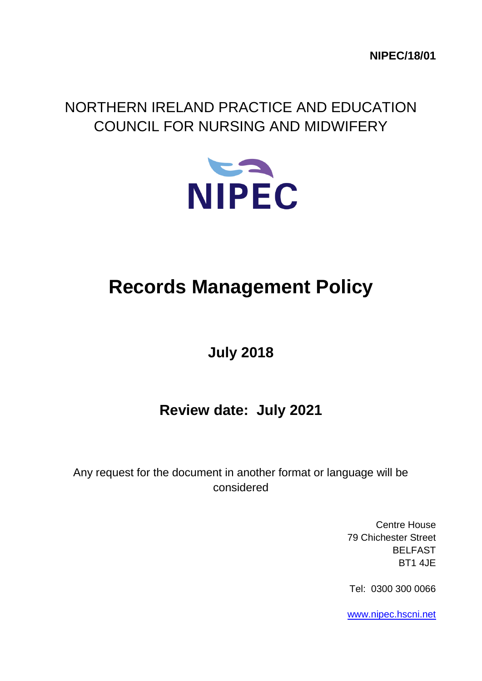**NIPEC/18/01**

## NORTHERN IRELAND PRACTICE AND EDUCATION COUNCIL FOR NURSING AND MIDWIFERY



# **Records Management Policy**

# **July 2018**

### **Review date: July 2021**

Any request for the document in another format or language will be considered

> Centre House 79 Chichester Street BELFAST BT1 4JE

Tel: 0300 300 0066

[www.nipec.hscni.net](http://www.nipec.hscni.net/)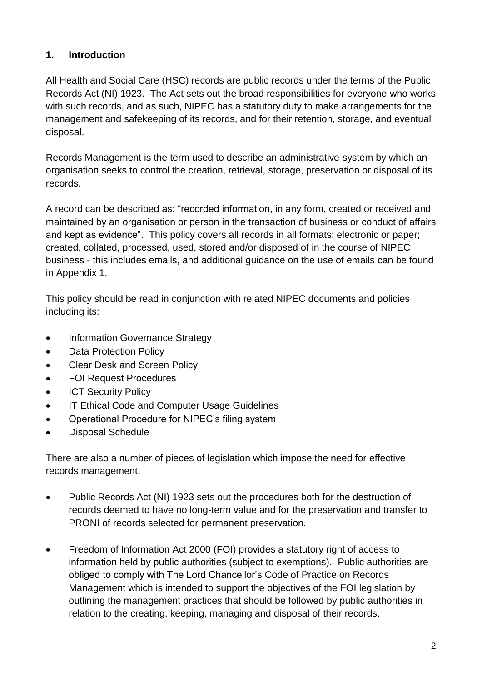#### **1. Introduction**

All Health and Social Care (HSC) records are public records under the terms of the Public Records Act (NI) 1923. The Act sets out the broad responsibilities for everyone who works with such records, and as such, NIPEC has a statutory duty to make arrangements for the management and safekeeping of its records, and for their retention, storage, and eventual disposal.

Records Management is the term used to describe an administrative system by which an organisation seeks to control the creation, retrieval, storage, preservation or disposal of its records.

A record can be described as: "recorded information, in any form, created or received and maintained by an organisation or person in the transaction of business or conduct of affairs and kept as evidence". This policy covers all records in all formats: electronic or paper; created, collated, processed, used, stored and/or disposed of in the course of NIPEC business - this includes emails, and additional guidance on the use of emails can be found in Appendix 1.

This policy should be read in conjunction with related NIPEC documents and policies including its:

- Information Governance Strategy
- Data Protection Policy
- Clear Desk and Screen Policy
- FOI Request Procedures
- ICT Security Policy
- **IT Ethical Code and Computer Usage Guidelines**
- Operational Procedure for NIPEC's filing system
- Disposal Schedule

There are also a number of pieces of legislation which impose the need for effective records management:

- Public Records Act (NI) 1923 sets out the procedures both for the destruction of records deemed to have no long-term value and for the preservation and transfer to PRONI of records selected for permanent preservation.
- Freedom of Information Act 2000 (FOI) provides a statutory right of access to information held by public authorities (subject to exemptions). Public authorities are obliged to comply with The Lord Chancellor's Code of Practice on Records Management which is intended to support the objectives of the FOI legislation by outlining the management practices that should be followed by public authorities in relation to the creating, keeping, managing and disposal of their records.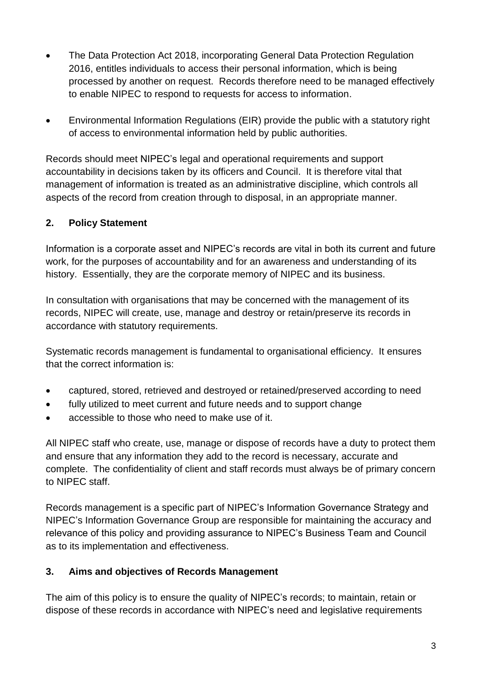- The Data Protection Act 2018, incorporating General Data Protection Regulation 2016, entitles individuals to access their personal information, which is being processed by another on request. Records therefore need to be managed effectively to enable NIPEC to respond to requests for access to information.
- Environmental Information Regulations (EIR) provide the public with a statutory right of access to environmental information held by public authorities.

Records should meet NIPEC's legal and operational requirements and support accountability in decisions taken by its officers and Council. It is therefore vital that management of information is treated as an administrative discipline, which controls all aspects of the record from creation through to disposal, in an appropriate manner.

#### **2. Policy Statement**

Information is a corporate asset and NIPEC's records are vital in both its current and future work, for the purposes of accountability and for an awareness and understanding of its history. Essentially, they are the corporate memory of NIPEC and its business.

In consultation with organisations that may be concerned with the management of its records, NIPEC will create, use, manage and destroy or retain/preserve its records in accordance with statutory requirements.

Systematic records management is fundamental to organisational efficiency. It ensures that the correct information is:

- captured, stored, retrieved and destroyed or retained/preserved according to need
- fully utilized to meet current and future needs and to support change
- accessible to those who need to make use of it.

All NIPEC staff who create, use, manage or dispose of records have a duty to protect them and ensure that any information they add to the record is necessary, accurate and complete. The confidentiality of client and staff records must always be of primary concern to NIPEC staff.

Records management is a specific part of NIPEC's Information Governance Strategy and NIPEC's Information Governance Group are responsible for maintaining the accuracy and relevance of this policy and providing assurance to NIPEC's Business Team and Council as to its implementation and effectiveness.

#### **3. Aims and objectives of Records Management**

The aim of this policy is to ensure the quality of NIPEC's records; to maintain, retain or dispose of these records in accordance with NIPEC's need and legislative requirements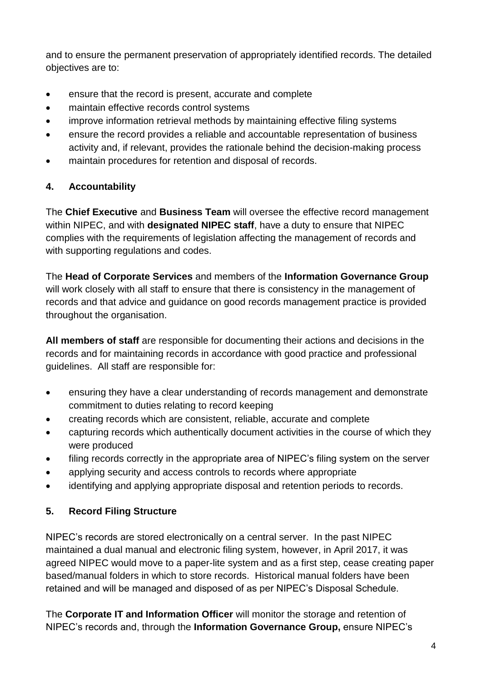and to ensure the permanent preservation of appropriately identified records. The detailed objectives are to:

- ensure that the record is present, accurate and complete
- maintain effective records control systems
- improve information retrieval methods by maintaining effective filing systems
- ensure the record provides a reliable and accountable representation of business activity and, if relevant, provides the rationale behind the decision-making process
- maintain procedures for retention and disposal of records.

#### **4. Accountability**

The **Chief Executive** and **Business Team** will oversee the effective record management within NIPEC, and with **designated NIPEC staff**, have a duty to ensure that NIPEC complies with the requirements of legislation affecting the management of records and with supporting regulations and codes.

The **Head of Corporate Services** and members of the **Information Governance Group** will work closely with all staff to ensure that there is consistency in the management of records and that advice and guidance on good records management practice is provided throughout the organisation.

**All members of staff** are responsible for documenting their actions and decisions in the records and for maintaining records in accordance with good practice and professional guidelines. All staff are responsible for:

- ensuring they have a clear understanding of records management and demonstrate commitment to duties relating to record keeping
- creating records which are consistent, reliable, accurate and complete
- capturing records which authentically document activities in the course of which they were produced
- filing records correctly in the appropriate area of NIPEC's filing system on the server
- applying security and access controls to records where appropriate
- identifying and applying appropriate disposal and retention periods to records.

#### **5. Record Filing Structure**

NIPEC's records are stored electronically on a central server. In the past NIPEC maintained a dual manual and electronic filing system, however, in April 2017, it was agreed NIPEC would move to a paper-lite system and as a first step, cease creating paper based/manual folders in which to store records. Historical manual folders have been retained and will be managed and disposed of as per NIPEC's Disposal Schedule.

The **Corporate IT and Information Officer** will monitor the storage and retention of NIPEC's records and, through the **Information Governance Group,** ensure NIPEC's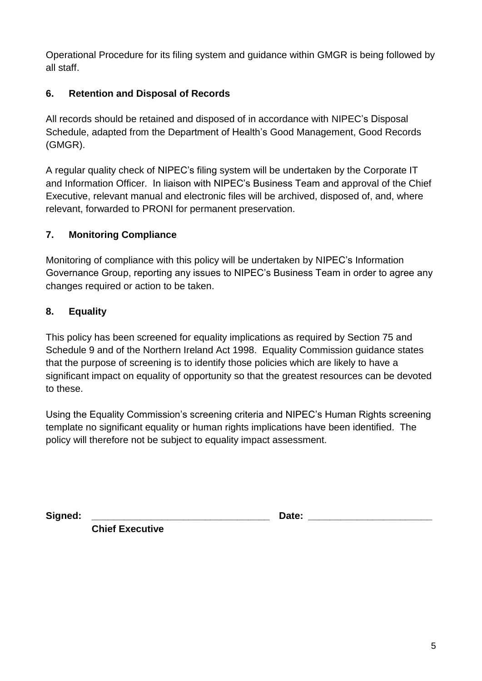Operational Procedure for its filing system and guidance within GMGR is being followed by all staff.

#### **6. Retention and Disposal of Records**

All records should be retained and disposed of in accordance with NIPEC's Disposal Schedule, adapted from the Department of Health's Good Management, Good Records (GMGR).

A regular quality check of NIPEC's filing system will be undertaken by the Corporate IT and Information Officer. In liaison with NIPEC's Business Team and approval of the Chief Executive, relevant manual and electronic files will be archived, disposed of, and, where relevant, forwarded to PRONI for permanent preservation.

#### **7. Monitoring Compliance**

Monitoring of compliance with this policy will be undertaken by NIPEC's Information Governance Group, reporting any issues to NIPEC's Business Team in order to agree any changes required or action to be taken.

#### **8. Equality**

This policy has been screened for equality implications as required by Section 75 and Schedule 9 and of the Northern Ireland Act 1998. Equality Commission guidance states that the purpose of screening is to identify those policies which are likely to have a significant impact on equality of opportunity so that the greatest resources can be devoted to these.

Using the Equality Commission's screening criteria and NIPEC's Human Rights screening template no significant equality or human rights implications have been identified. The policy will therefore not be subject to equality impact assessment.

Signed: **Date: Date:** *Date:* 

**Chief Executive**